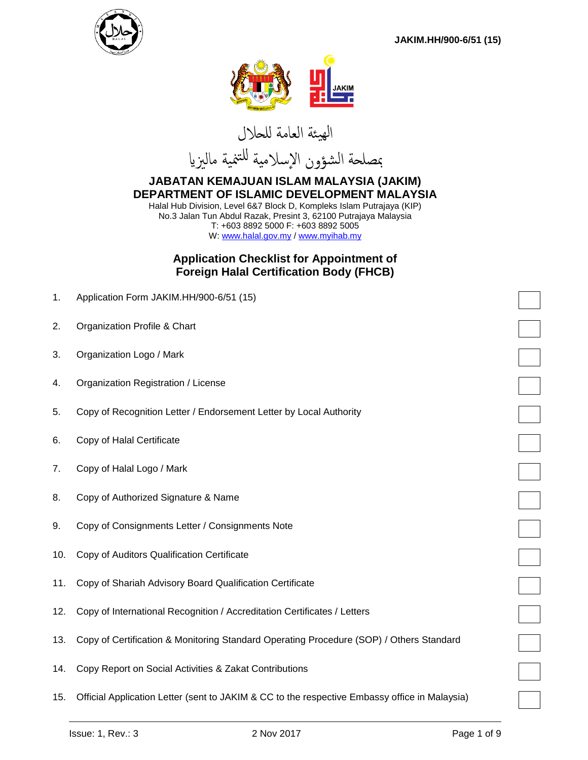



الهيئة العامة للحالل



#### **JABATAN KEMAJUAN ISLAM MALAYSIA (JAKIM) DEPARTMENT OF ISLAMIC DEVELOPMENT MALAYSIA** Halal Hub Division, Level 6&7 Block D, Kompleks Islam Putrajaya (KIP)

No.3 Jalan Tun Abdul Razak, Presint 3, 62100 Putrajaya Malaysia T: +603 8892 5000 F: +603 8892 5005 W: [www.halal.gov.my](http://www.halal.gov.my/) / [www.myihab.my](http://www.myihab.my/)

## **Application Checklist for Appointment of Foreign Halal Certification Body (FHCB)**

| 1.  | Application Form JAKIM.HH/900-6/51 (15)                                                       |  |
|-----|-----------------------------------------------------------------------------------------------|--|
| 2.  | Organization Profile & Chart                                                                  |  |
| 3.  | Organization Logo / Mark                                                                      |  |
| 4.  | Organization Registration / License                                                           |  |
| 5.  | Copy of Recognition Letter / Endorsement Letter by Local Authority                            |  |
| 6.  | Copy of Halal Certificate                                                                     |  |
| 7.  | Copy of Halal Logo / Mark                                                                     |  |
| 8.  | Copy of Authorized Signature & Name                                                           |  |
| 9.  | Copy of Consignments Letter / Consignments Note                                               |  |
| 10. | Copy of Auditors Qualification Certificate                                                    |  |
| 11. | Copy of Shariah Advisory Board Qualification Certificate                                      |  |
| 12. | Copy of International Recognition / Accreditation Certificates / Letters                      |  |
| 13. | Copy of Certification & Monitoring Standard Operating Procedure (SOP) / Others Standard       |  |
| 14. | Copy Report on Social Activities & Zakat Contributions                                        |  |
| 15. | Official Application Letter (sent to JAKIM & CC to the respective Embassy office in Malaysia) |  |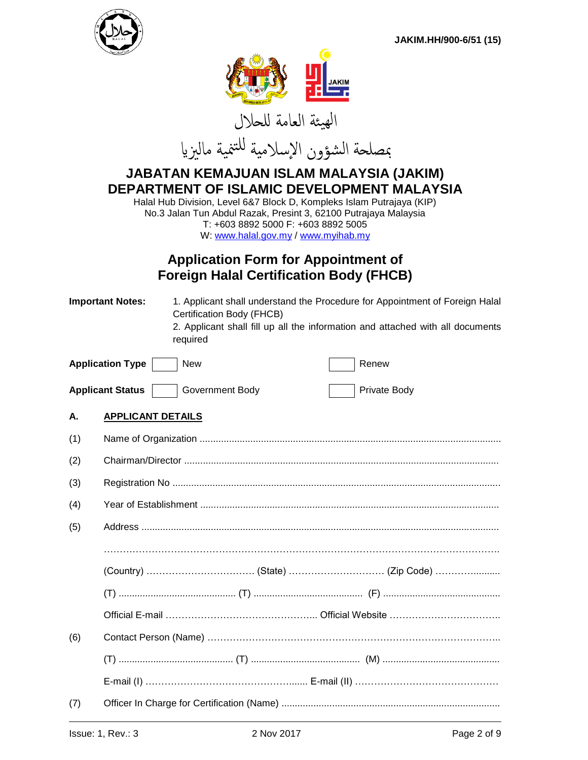



# **JABATAN KEMAJUAN ISLAM MALAYSIA (JAKIM) DEPARTMENT OF ISLAMIC DEVELOPMENT MALAYSIA**

Halal Hub Division, Level 6&7 Block D, Kompleks Islam Putrajaya (KIP) No.3 Jalan Tun Abdul Razak, Presint 3, 62100 Putrajaya Malaysia T: +603 8892 5000 F: +603 8892 5005 W[: www.halal.gov.my](http://www.halal.gov.my/) / [www.myihab.my](http://www.myihab.my/)

# **Application Form for Appointment of Foreign Halal Certification Body (FHCB)**

| <b>Important Notes:</b> |                          | 1. Applicant shall understand the Procedure for Appointment of Foreign Halal<br>Certification Body (FHCB)<br>2. Applicant shall fill up all the information and attached with all documents<br>required |  |  |              |
|-------------------------|--------------------------|---------------------------------------------------------------------------------------------------------------------------------------------------------------------------------------------------------|--|--|--------------|
|                         | <b>Application Type</b>  | <b>New</b>                                                                                                                                                                                              |  |  | Renew        |
|                         | <b>Applicant Status</b>  | Government Body                                                                                                                                                                                         |  |  | Private Body |
| А.                      | <b>APPLICANT DETAILS</b> |                                                                                                                                                                                                         |  |  |              |
| (1)                     |                          |                                                                                                                                                                                                         |  |  |              |
| (2)                     |                          |                                                                                                                                                                                                         |  |  |              |
| (3)                     |                          |                                                                                                                                                                                                         |  |  |              |
| (4)                     |                          |                                                                                                                                                                                                         |  |  |              |
| (5)                     |                          |                                                                                                                                                                                                         |  |  |              |
|                         |                          |                                                                                                                                                                                                         |  |  |              |
|                         |                          |                                                                                                                                                                                                         |  |  |              |
|                         |                          |                                                                                                                                                                                                         |  |  |              |
|                         |                          |                                                                                                                                                                                                         |  |  |              |
| (6)                     |                          |                                                                                                                                                                                                         |  |  |              |
|                         |                          |                                                                                                                                                                                                         |  |  |              |
|                         |                          |                                                                                                                                                                                                         |  |  |              |
| (7)                     |                          |                                                                                                                                                                                                         |  |  |              |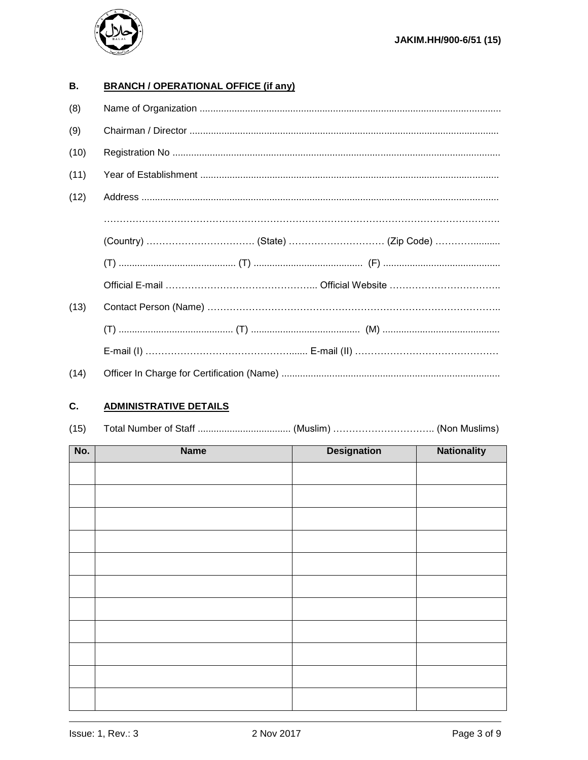

#### **B. BRANCH / OPERATIONAL OFFICE (if any)**

| (8)  |  |  |
|------|--|--|
| (9)  |  |  |
| (10) |  |  |
| (11) |  |  |
| (12) |  |  |
|      |  |  |
|      |  |  |
|      |  |  |
|      |  |  |
| (13) |  |  |
|      |  |  |
|      |  |  |
| (14) |  |  |

#### C. **ADMINISTRATIVE DETAILS**

| (15) |  |  |  |
|------|--|--|--|
|------|--|--|--|

| No. | <b>Name</b> | <b>Designation</b> | <b>Nationality</b> |
|-----|-------------|--------------------|--------------------|
|     |             |                    |                    |
|     |             |                    |                    |
|     |             |                    |                    |
|     |             |                    |                    |
|     |             |                    |                    |
|     |             |                    |                    |
|     |             |                    |                    |
|     |             |                    |                    |
|     |             |                    |                    |
|     |             |                    |                    |
|     |             |                    |                    |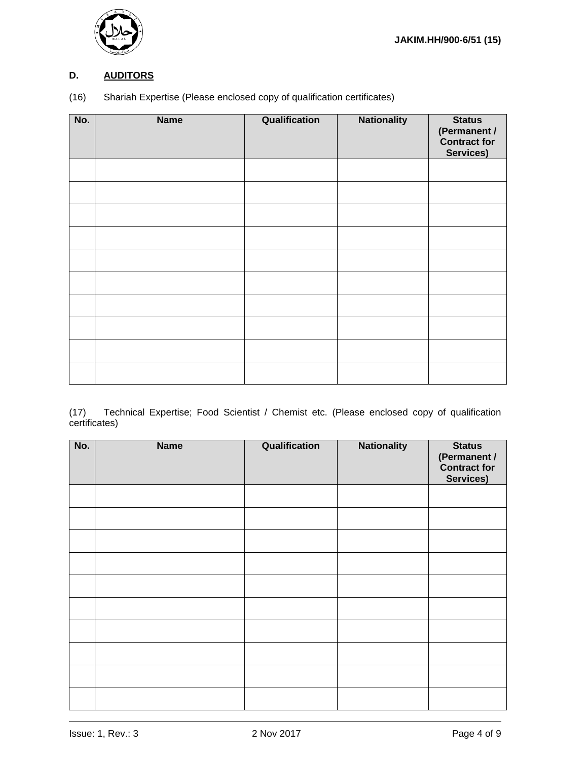

## **D. AUDITORS**

(16) Shariah Expertise (Please enclosed copy of qualification certificates)

| No. | <b>Name</b> | Qualification | <b>Nationality</b> | <b>Status</b><br>(Permanent /<br>Contract for<br>Services) |
|-----|-------------|---------------|--------------------|------------------------------------------------------------|
|     |             |               |                    |                                                            |
|     |             |               |                    |                                                            |
|     |             |               |                    |                                                            |
|     |             |               |                    |                                                            |
|     |             |               |                    |                                                            |
|     |             |               |                    |                                                            |
|     |             |               |                    |                                                            |
|     |             |               |                    |                                                            |
|     |             |               |                    |                                                            |
|     |             |               |                    |                                                            |

(17) Technical Expertise; Food Scientist / Chemist etc. (Please enclosed copy of qualification certificates)

| No. | <b>Name</b> | Qualification | <b>Nationality</b> | <b>Status</b><br>(Permanent /<br>Contract for<br>Services) |
|-----|-------------|---------------|--------------------|------------------------------------------------------------|
|     |             |               |                    |                                                            |
|     |             |               |                    |                                                            |
|     |             |               |                    |                                                            |
|     |             |               |                    |                                                            |
|     |             |               |                    |                                                            |
|     |             |               |                    |                                                            |
|     |             |               |                    |                                                            |
|     |             |               |                    |                                                            |
|     |             |               |                    |                                                            |
|     |             |               |                    |                                                            |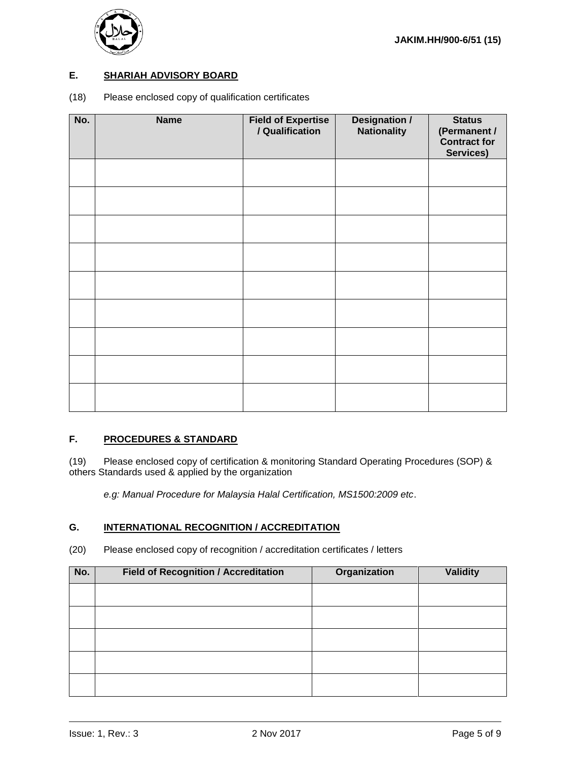

#### **E. SHARIAH ADVISORY BOARD**

(18) Please enclosed copy of qualification certificates

| No. | <b>Name</b> | <b>Field of Expertise</b><br>/ Qualification | <b>Designation /</b><br><b>Nationality</b> | <b>Status</b><br>(Permanent /<br><b>Contract for</b><br>Services) |
|-----|-------------|----------------------------------------------|--------------------------------------------|-------------------------------------------------------------------|
|     |             |                                              |                                            |                                                                   |
|     |             |                                              |                                            |                                                                   |
|     |             |                                              |                                            |                                                                   |
|     |             |                                              |                                            |                                                                   |
|     |             |                                              |                                            |                                                                   |
|     |             |                                              |                                            |                                                                   |
|     |             |                                              |                                            |                                                                   |
|     |             |                                              |                                            |                                                                   |
|     |             |                                              |                                            |                                                                   |

#### **F. PROCEDURES & STANDARD**

(19) Please enclosed copy of certification & monitoring Standard Operating Procedures (SOP) & others Standards used & applied by the organization

*e.g: Manual Procedure for Malaysia Halal Certification, MS1500:2009 etc*.

#### **G. INTERNATIONAL RECOGNITION / ACCREDITATION**

(20) Please enclosed copy of recognition / accreditation certificates / letters

| No. | <b>Field of Recognition / Accreditation</b> | Organization | <b>Validity</b> |
|-----|---------------------------------------------|--------------|-----------------|
|     |                                             |              |                 |
|     |                                             |              |                 |
|     |                                             |              |                 |
|     |                                             |              |                 |
|     |                                             |              |                 |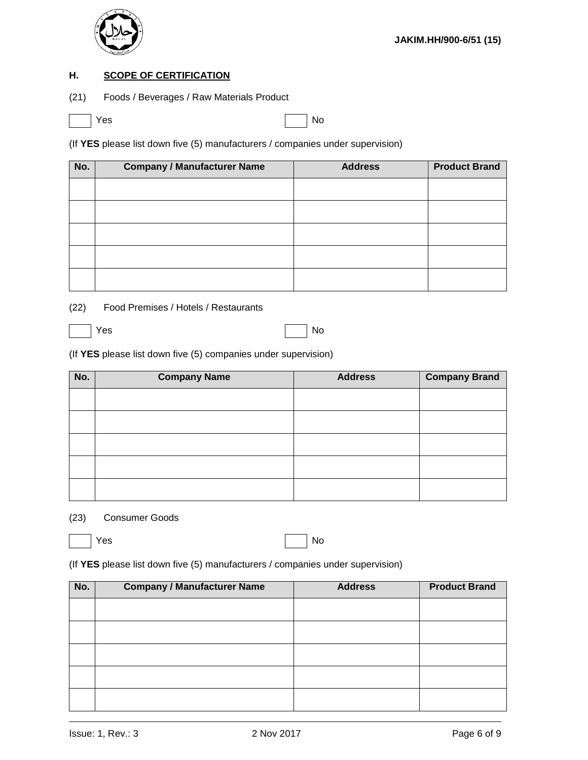

#### **H. SCOPE OF CERTIFICATION**

(21) Foods / Beverages / Raw Materials Product

Yes No

(If **YES** please list down five (5) manufacturers / companies under supervision)

| No. | <b>Company / Manufacturer Name</b> | <b>Address</b> | <b>Product Brand</b> |
|-----|------------------------------------|----------------|----------------------|
|     |                                    |                |                      |
|     |                                    |                |                      |
|     |                                    |                |                      |
|     |                                    |                |                      |
|     |                                    |                |                      |

- (22) Food Premises / Hotels / Restaurants
- Yes No

(If **YES** please list down five (5) companies under supervision)

| No. | <b>Company Name</b> | <b>Address</b> | <b>Company Brand</b> |
|-----|---------------------|----------------|----------------------|
|     |                     |                |                      |
|     |                     |                |                      |
|     |                     |                |                      |
|     |                     |                |                      |
|     |                     |                |                      |

#### (23) Consumer Goods

Yes No

(If **YES** please list down five (5) manufacturers / companies under supervision)

| No. | <b>Company / Manufacturer Name</b> | <b>Address</b> | <b>Product Brand</b> |
|-----|------------------------------------|----------------|----------------------|
|     |                                    |                |                      |
|     |                                    |                |                      |
|     |                                    |                |                      |
|     |                                    |                |                      |
|     |                                    |                |                      |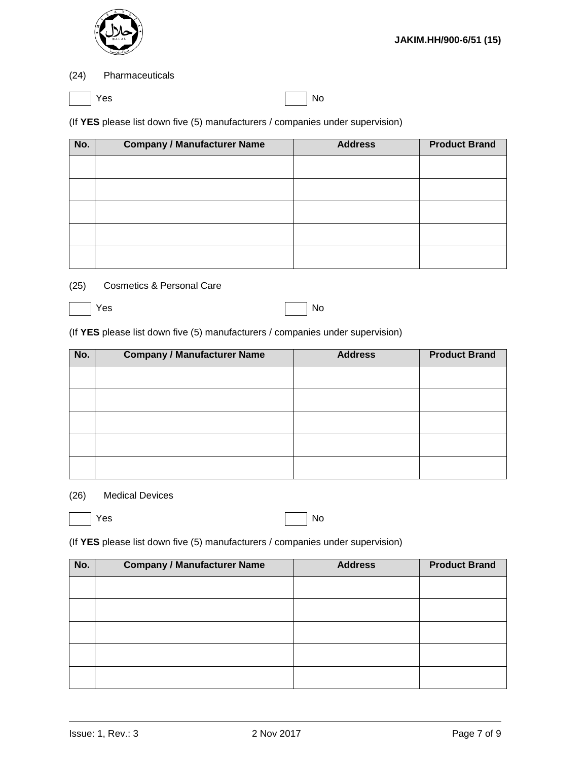

#### (24) Pharmaceuticals

|--|

Yes No

(If **YES** please list down five (5) manufacturers / companies under supervision)

| No. | <b>Company / Manufacturer Name</b> | <b>Address</b> | <b>Product Brand</b> |
|-----|------------------------------------|----------------|----------------------|
|     |                                    |                |                      |
|     |                                    |                |                      |
|     |                                    |                |                      |
|     |                                    |                |                      |
|     |                                    |                |                      |

#### (25) Cosmetics & Personal Care

|--|--|

Yes No

(If **YES** please list down five (5) manufacturers / companies under supervision)

| No. | <b>Company / Manufacturer Name</b> | <b>Address</b> | <b>Product Brand</b> |
|-----|------------------------------------|----------------|----------------------|
|     |                                    |                |                      |
|     |                                    |                |                      |
|     |                                    |                |                      |
|     |                                    |                |                      |
|     |                                    |                |                      |

#### (26) Medical Devices

| Yes | $\vert$ No |
|-----|------------|
|     |            |

(If **YES** please list down five (5) manufacturers / companies under supervision)

| No. | <b>Company / Manufacturer Name</b> | <b>Address</b> | <b>Product Brand</b> |
|-----|------------------------------------|----------------|----------------------|
|     |                                    |                |                      |
|     |                                    |                |                      |
|     |                                    |                |                      |
|     |                                    |                |                      |
|     |                                    |                |                      |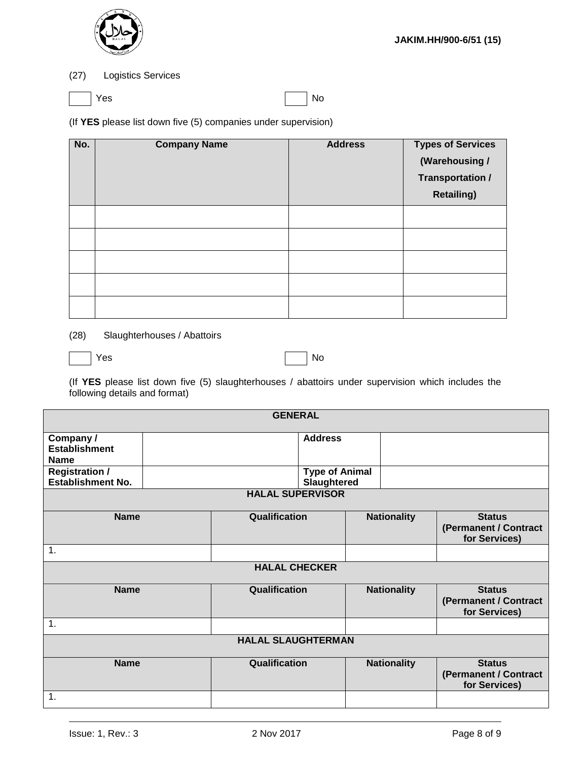

#### (27) Logistics Services

|--|

Yes No

(If **YES** please list down five (5) companies under supervision)

| No. | <b>Company Name</b> | <b>Address</b> | <b>Types of Services</b><br>(Warehousing /<br>Transportation /<br><b>Retailing)</b> |
|-----|---------------------|----------------|-------------------------------------------------------------------------------------|
|     |                     |                |                                                                                     |
|     |                     |                |                                                                                     |
|     |                     |                |                                                                                     |
|     |                     |                |                                                                                     |
|     |                     |                |                                                                                     |

(28) Slaughterhouses / Abattoirs

|--|

Yes No

(If **YES** please list down five (5) slaughterhouses / abattoirs under supervision which includes the following details and format)

| <b>GENERAL</b>                                    |                         |                           |                                      |  |                    |                                                         |
|---------------------------------------------------|-------------------------|---------------------------|--------------------------------------|--|--------------------|---------------------------------------------------------|
| Company/<br><b>Establishment</b>                  |                         |                           | <b>Address</b>                       |  |                    |                                                         |
| <b>Name</b>                                       |                         |                           |                                      |  |                    |                                                         |
| <b>Registration /</b><br><b>Establishment No.</b> |                         |                           | <b>Type of Animal</b><br>Slaughtered |  |                    |                                                         |
|                                                   | <b>HALAL SUPERVISOR</b> |                           |                                      |  |                    |                                                         |
| <b>Name</b>                                       |                         | Qualification             |                                      |  | <b>Nationality</b> | <b>Status</b><br>(Permanent / Contract<br>for Services) |
| $\mathbf 1$ .                                     |                         |                           |                                      |  |                    |                                                         |
| <b>HALAL CHECKER</b>                              |                         |                           |                                      |  |                    |                                                         |
| <b>Name</b>                                       |                         | Qualification             |                                      |  | <b>Nationality</b> | <b>Status</b><br>(Permanent / Contract<br>for Services) |
| $\mathbf 1$ .                                     |                         |                           |                                      |  |                    |                                                         |
|                                                   |                         | <b>HALAL SLAUGHTERMAN</b> |                                      |  |                    |                                                         |
| <b>Name</b>                                       |                         | Qualification             |                                      |  | <b>Nationality</b> | <b>Status</b><br>(Permanent / Contract<br>for Services) |
| 1.                                                |                         |                           |                                      |  |                    |                                                         |